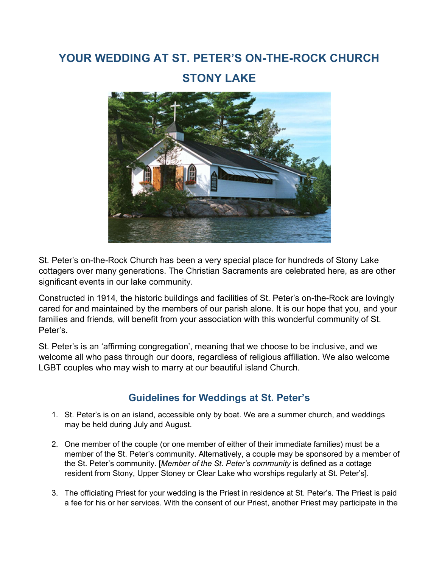# YOUR WEDDING AT ST. PETER'S ON-THE-ROCK CHURCH

# STONY LAKE



St. Peter's on-the-Rock Church has been a very special place for hundreds of Stony Lake cottagers over many generations. The Christian Sacraments are celebrated here, as are other significant events in our lake community.

Constructed in 1914, the historic buildings and facilities of St. Peter's on-the-Rock are lovingly cared for and maintained by the members of our parish alone. It is our hope that you, and your families and friends, will benefit from your association with this wonderful community of St. Peter's.

St. Peter's is an 'affirming congregation', meaning that we choose to be inclusive, and we welcome all who pass through our doors, regardless of religious affiliation. We also welcome LGBT couples who may wish to marry at our beautiful island Church.

## Guidelines for Weddings at St. Peter's

- 1. St. Peter's is on an island, accessible only by boat. We are a summer church, and weddings may be held during July and August.
- 2. One member of the couple (or one member of either of their immediate families) must be a member of the St. Peter's community. Alternatively, a couple may be sponsored by a member of the St. Peter's community. [Member of the St. Peter's community is defined as a cottage resident from Stony, Upper Stoney or Clear Lake who worships regularly at St. Peter's].
- 3. The officiating Priest for your wedding is the Priest in residence at St. Peter's. The Priest is paid a fee for his or her services. With the consent of our Priest, another Priest may participate in the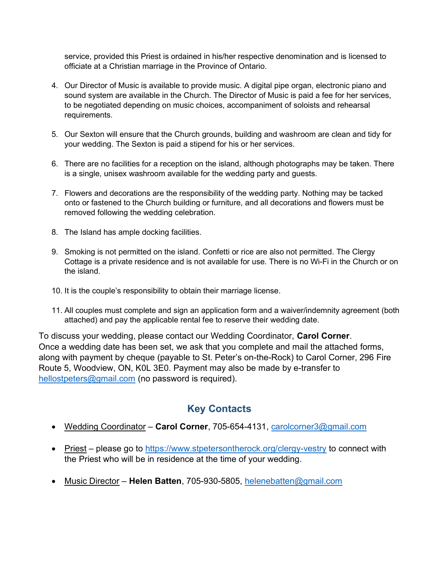service, provided this Priest is ordained in his/her respective denomination and is licensed to officiate at a Christian marriage in the Province of Ontario.

- 4. Our Director of Music is available to provide music. A digital pipe organ, electronic piano and sound system are available in the Church. The Director of Music is paid a fee for her services, to be negotiated depending on music choices, accompaniment of soloists and rehearsal requirements.
- 5. Our Sexton will ensure that the Church grounds, building and washroom are clean and tidy for your wedding. The Sexton is paid a stipend for his or her services.
- 6. There are no facilities for a reception on the island, although photographs may be taken. There is a single, unisex washroom available for the wedding party and guests.
- 7. Flowers and decorations are the responsibility of the wedding party. Nothing may be tacked onto or fastened to the Church building or furniture, and all decorations and flowers must be removed following the wedding celebration.
- 8. The Island has ample docking facilities.
- 9. Smoking is not permitted on the island. Confetti or rice are also not permitted. The Clergy Cottage is a private residence and is not available for use. There is no Wi-Fi in the Church or on the island.
- 10. It is the couple's responsibility to obtain their marriage license.
- 11. All couples must complete and sign an application form and a waiver/indemnity agreement (both attached) and pay the applicable rental fee to reserve their wedding date.

To discuss your wedding, please contact our Wedding Coordinator, Carol Corner. Once a wedding date has been set, we ask that you complete and mail the attached forms, along with payment by cheque (payable to St. Peter's on-the-Rock) to Carol Corner, 296 Fire Route 5, Woodview, ON, K0L 3E0. Payment may also be made by e-transfer to hellostpeters@gmail.com (no password is required).

## Key Contacts

- Wedding Coordinator Carol Corner, 705-654-4131, carolcorner3@gmail.com
- Priest please go to https://www.stpetersontherock.org/clergy-vestry to connect with the Priest who will be in residence at the time of your wedding.
- Music Director Helen Batten, 705-930-5805, helenebatten@gmail.com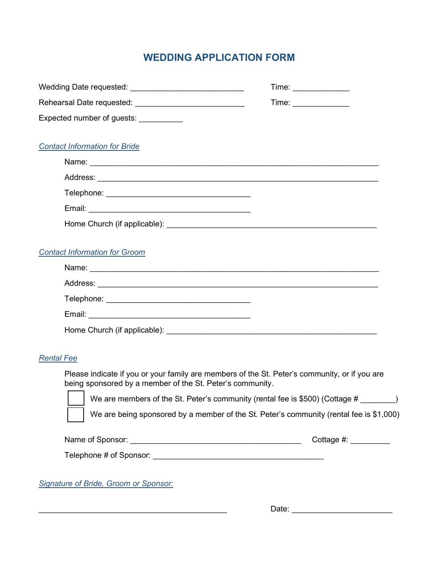# WEDDING APPLICATION FORM

|                                                                                                                                                            | Time: _______________                                                                   |
|------------------------------------------------------------------------------------------------------------------------------------------------------------|-----------------------------------------------------------------------------------------|
| Rehearsal Date requested: ______________________________                                                                                                   | Time: _______________                                                                   |
| Expected number of guests: ___________                                                                                                                     |                                                                                         |
| <b>Contact Information for Bride</b>                                                                                                                       |                                                                                         |
|                                                                                                                                                            |                                                                                         |
|                                                                                                                                                            |                                                                                         |
|                                                                                                                                                            |                                                                                         |
|                                                                                                                                                            |                                                                                         |
|                                                                                                                                                            |                                                                                         |
|                                                                                                                                                            |                                                                                         |
| <b>Contact Information for Groom</b>                                                                                                                       |                                                                                         |
|                                                                                                                                                            |                                                                                         |
|                                                                                                                                                            |                                                                                         |
|                                                                                                                                                            |                                                                                         |
|                                                                                                                                                            |                                                                                         |
|                                                                                                                                                            |                                                                                         |
|                                                                                                                                                            |                                                                                         |
| <b>Rental Fee</b>                                                                                                                                          |                                                                                         |
| Please indicate if you or your family are members of the St. Peter's community, or if you are<br>being sponsored by a member of the St. Peter's community. |                                                                                         |
| We are members of the St. Peter's community (rental fee is \$500) (Cottage #                                                                               | $\Box$                                                                                  |
|                                                                                                                                                            | We are being sponsored by a member of the St. Peter's community (rental fee is \$1,000) |
|                                                                                                                                                            | Cottage $\#$ : $\_\_\_\_\_\_\_\_\_\_\_\_\_\_\_\_\_\_\_\_\_\_\_\_\_\_$                   |
|                                                                                                                                                            |                                                                                         |
| Signature of Bride, Groom or Sponsor:                                                                                                                      |                                                                                         |
|                                                                                                                                                            |                                                                                         |
|                                                                                                                                                            | Date:                                                                                   |